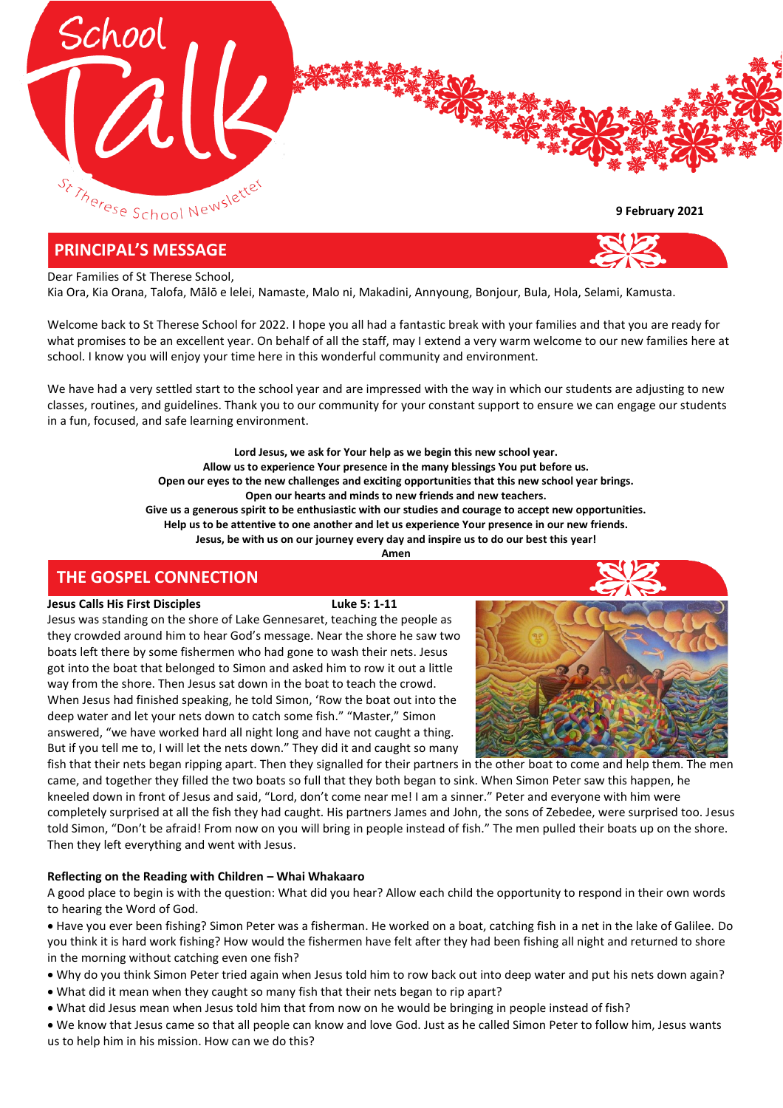

#### **PRINCIPAL'S MESSAGE**

#### Dear Families of St Therese School,

Kia Ora, Kia Orana, Talofa, Mālō e lelei, Namaste, Malo ni, Makadini, Annyoung, Bonjour, Bula, Hola, Selami, Kamusta.

Welcome back to St Therese School for 2022. I hope you all had a fantastic break with your families and that you are ready for what promises to be an excellent year. On behalf of all the staff, may I extend a very warm welcome to our new families here at school. I know you will enjoy your time here in this wonderful community and environment.

We have had a very settled start to the school year and are impressed with the way in which our students are adjusting to new classes, routines, and guidelines. Thank you to our community for your constant support to ensure we can engage our students in a fun, focused, and safe learning environment.

> **Lord Jesus, we ask for Your help as we begin this new school year. Allow us to experience Your presence in the many blessings You put before us. Open our eyes to the new challenges and exciting opportunities that this new school year brings. Open our hearts and minds to new friends and new teachers.**

**Give us a generous spirit to be enthusiastic with our studies and courage to accept new opportunities. Help us to be attentive to one another and let us experience Your presence in our new friends.**

**Jesus, be with us on our journey every day and inspire us to do our best this year!** 

**Amen**

## **THE GOSPEL CONNECTION**

#### **Jesus Calls His First Disciples Luke 5: 1-11**

Jesus was standing on the shore of Lake Gennesaret, teaching the people as they crowded around him to hear God's message. Near the shore he saw two boats left there by some fishermen who had gone to wash their nets. Jesus got into the boat that belonged to Simon and asked him to row it out a little way from the shore. Then Jesus sat down in the boat to teach the crowd. When Jesus had finished speaking, he told Simon, 'Row the boat out into the deep water and let your nets down to catch some fish." "Master," Simon answered, "we have worked hard all night long and have not caught a thing. But if you tell me to, I will let the nets down." They did it and caught so many



fish that their nets began ripping apart. Then they signalled for their partners in the other boat to come and help them. The men came, and together they filled the two boats so full that they both began to sink. When Simon Peter saw this happen, he kneeled down in front of Jesus and said, "Lord, don't come near me! I am a sinner." Peter and everyone with him were completely surprised at all the fish they had caught. His partners James and John, the sons of Zebedee, were surprised too. Jesus told Simon, "Don't be afraid! From now on you will bring in people instead of fish." The men pulled their boats up on the shore. Then they left everything and went with Jesus.

#### **Reflecting on the Reading with Children – Whai Whakaaro**

A good place to begin is with the question: What did you hear? Allow each child the opportunity to respond in their own words to hearing the Word of God.

• Have you ever been fishing? Simon Peter was a fisherman. He worked on a boat, catching fish in a net in the lake of Galilee. Do you think it is hard work fishing? How would the fishermen have felt after they had been fishing all night and returned to shore in the morning without catching even one fish?

• Why do you think Simon Peter tried again when Jesus told him to row back out into deep water and put his nets down again?

- What did it mean when they caught so many fish that their nets began to rip apart?
- What did Jesus mean when Jesus told him that from now on he would be bringing in people instead of fish?

• We know that Jesus came so that all people can know and love God. Just as he called Simon Peter to follow him, Jesus wants us to help him in his mission. How can we do this?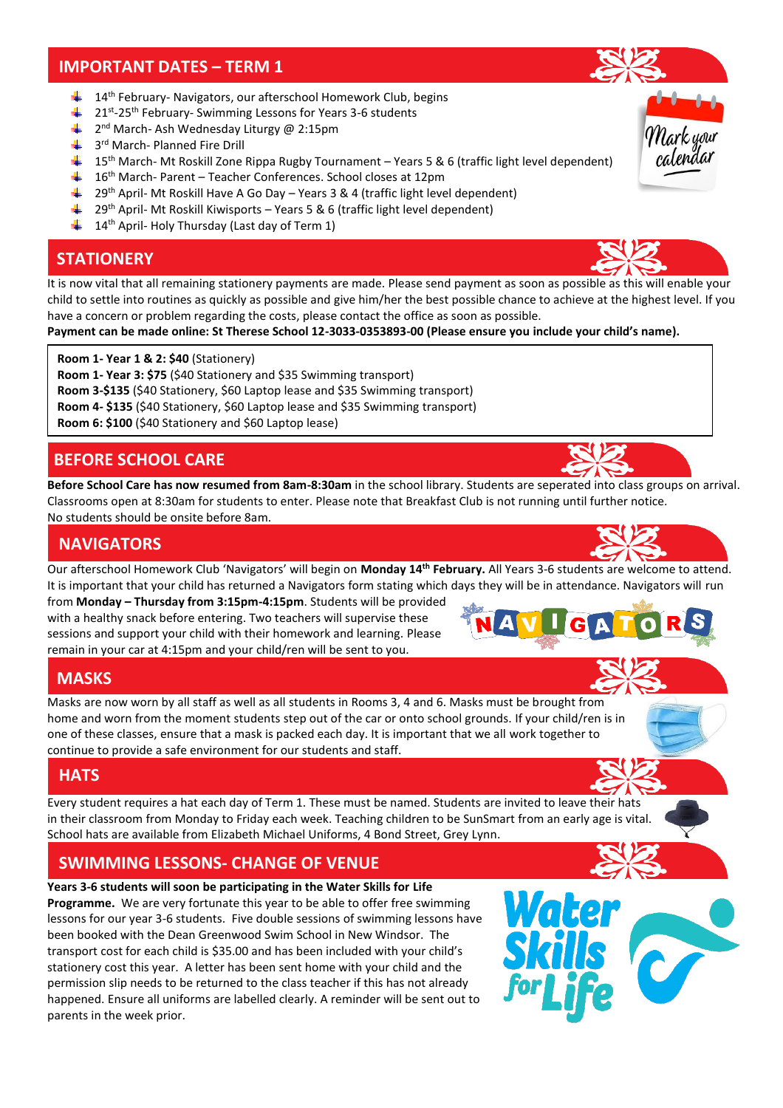## **IMPORTANT DATES – TERM 1**

- 14<sup>th</sup> February- Navigators, our afterschool Homework Club, begins
- 21<sup>st</sup>-25<sup>th</sup> February- Swimming Lessons for Years 3-6 students
- 2<sup>nd</sup> March- Ash Wednesday Liturgy @ 2:15pm
- 3 rd March- Planned Fire Drill
- $\downarrow$  15<sup>th</sup> March- Mt Roskill Zone Rippa Rugby Tournament Years 5 & 6 (traffic light level dependent)
- 16<sup>th</sup> March- Parent Teacher Conferences. School closes at 12pm
- $\frac{1}{2}$  29<sup>th</sup> April- Mt Roskill Have A Go Day Years 3 & 4 (traffic light level dependent)
- $\frac{1}{2}$  29<sup>th</sup> April- Mt Roskill Kiwisports Years 5 & 6 (traffic light level dependent)
- $\ddagger$  14<sup>th</sup> April- Holy Thursday (Last day of Term 1)

### **STATIONERY**

It is now vital that all remaining stationery payments are made. Please send payment as soon as possible as this will enable your child to settle into routines as quickly as possible and give him/her the best possible chance to achieve at the highest level. If you have a concern or problem regarding the costs, please contact the office as soon as possible.

**Payment can be made online: St Therese School 12-3033-0353893-00 (Please ensure you include your child's name).**

**Room 1- Year 1 & 2: \$40** (Stationery) **Room 1- Year 3: \$75** (\$40 Stationery and \$35 Swimming transport) **Room 3-\$135** (\$40 Stationery, \$60 Laptop lease and \$35 Swimming transport) **Room 4- \$135** (\$40 Stationery, \$60 Laptop lease and \$35 Swimming transport) **Room 6: \$100** (\$40 Stationery and \$60 Laptop lease)

# **BEFORE SCHOOL CARE**

**Before School Care has now resumed from 8am-8:30am** in the school library. Students are seperated into class groups on arrival. Classrooms open at 8:30am for students to enter. Please note that Breakfast Club is not running until further notice. No students should be onsite before 8am.

## **NAVIGATORS**

Our afterschool Homework Club 'Navigators' will begin on **Monday 14th February.** All Years 3-6 students are welcome to attend. It is important that your child has returned a Navigators form stating which days they will be in attendance. Navigators will run

from **Monday – Thursday from 3:15pm-4:15pm**. Students will be provided with a healthy snack before entering. Two teachers will supervise these sessions and support your child with their homework and learning. Please remain in your car at 4:15pm and your child/ren will be sent to you.

**MASKS**

Masks are now worn by all staff as well as all students in Rooms 3, 4 and 6. Masks must be brought from home and worn from the moment students step out of the car or onto school grounds. If your child/ren is in one of these classes, ensure that a mask is packed each day. It is important that we all work together to continue to provide a safe environment for our students and staff.

## **HATS**

parents in the week prior.

Every student requires a hat each day of Term 1. These must be named. Students are invited to leave their hats in their classroom from Monday to Friday each week. Teaching children to be SunSmart from an early age is vital. School hats are available from Elizabeth Michael Uniforms, 4 Bond Street, Grey Lynn.

# **SWIMMING LESSONS- CHANGE OF VENUE**

**Years 3-6 students will soon be participating in the Water Skills for Life Programme.** We are very fortunate this year to be able to offer free swimming lessons for our year 3-6 students. Five double sessions of swimming lessons have been booked with the Dean Greenwood Swim School in New Windsor. The transport cost for each child is \$35.00 and has been included with your child's stationery cost this year. A letter has been sent home with your child and the permission slip needs to be returned to the class teacher if this has not already happened. Ensure all uniforms are labelled clearly. A reminder will be sent out to







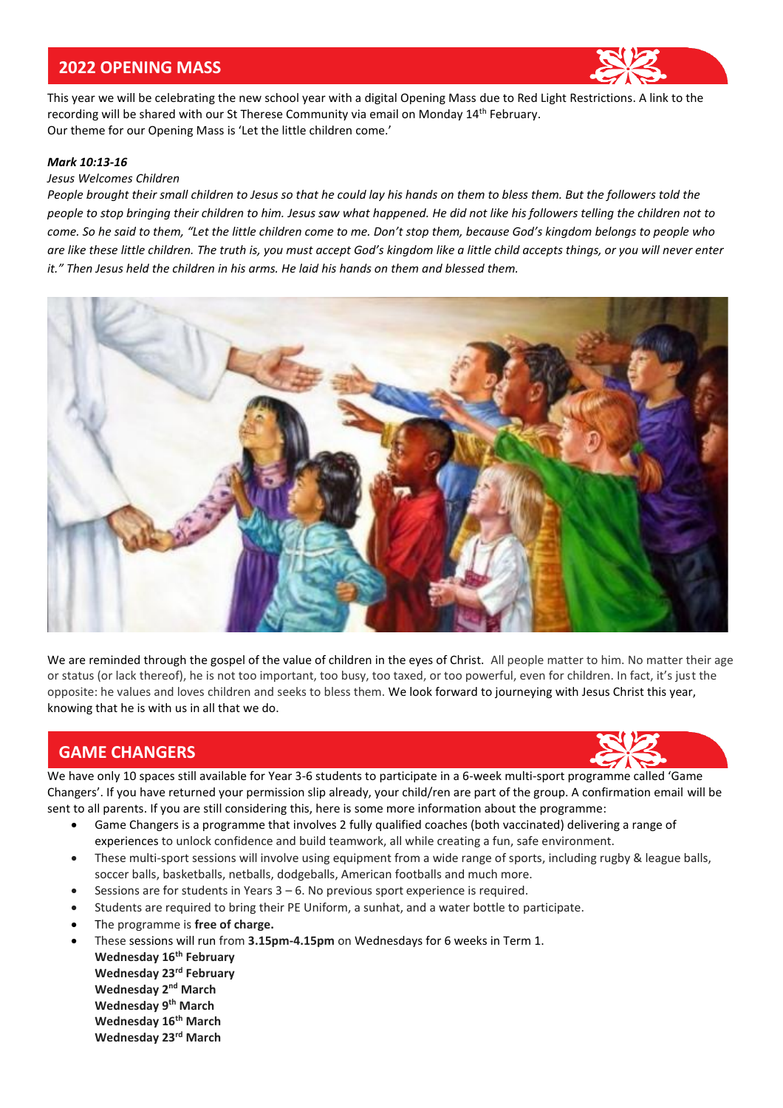# **2022 OPENING MASS**

This year we will be celebrating the new school year with a digital Opening Mass due to Red Light Restrictions. A link to the recording will be shared with our St Therese Community via email on Monday 14th February. Our theme for our Opening Mass is 'Let the little children come.'

#### *Mark 10:13-16*

#### *Jesus Welcomes Children*

*People brought their small children to Jesus so that he could lay his hands on them to bless them. But the followers told the people to stop bringing their children to him. Jesus saw what happened. He did not like his followers telling the children not to come. So he said to them, "Let the little children come to me. Don't stop them, because God's kingdom belongs to people who are like these little children. The truth is, you must accept God's kingdom like a little child accepts things, or you will never enter it." Then Jesus held the children in his arms. He laid his hands on them and blessed them.*



We are reminded through the gospel of the value of children in the eyes of Christ. All people matter to him. No matter their age or status (or lack thereof), he is not too important, too busy, too taxed, or too powerful, even for children. In fact, it's just the opposite: he values and loves children and seeks to bless them. We look forward to journeying with Jesus Christ this year, knowing that he is with us in all that we do.

## **GAME CHANGERS**

We have only 10 spaces still available for Year 3-6 students to participate in a 6-week multi-sport programme called 'Game Changers'. If you have returned your permission slip already, your child/ren are part of the group. A confirmation email will be sent to all parents. If you are still considering this, here is some more information about the programme:

- Game Changers is a programme that involves 2 fully qualified coaches (both vaccinated) delivering a range of experiences to unlock confidence and build teamwork, all while creating a fun, safe environment.
- These multi-sport sessions will involve using equipment from a wide range of sports, including rugby & league balls, soccer balls, basketballs, netballs, dodgeballs, American footballs and much more.
- Sessions are for students in Years  $3 6$ . No previous sport experience is required.
- Students are required to bring their PE Uniform, a sunhat, and a water bottle to participate.
- The programme is **free of charge.**
- These sessions will run from **3.15pm-4.15pm** on Wednesdays for 6 weeks in Term 1.

**Wednesday 16th February Wednesday 23rd February Wednesday 2nd March Wednesday 9th March Wednesday 16th March Wednesday 23rd March**